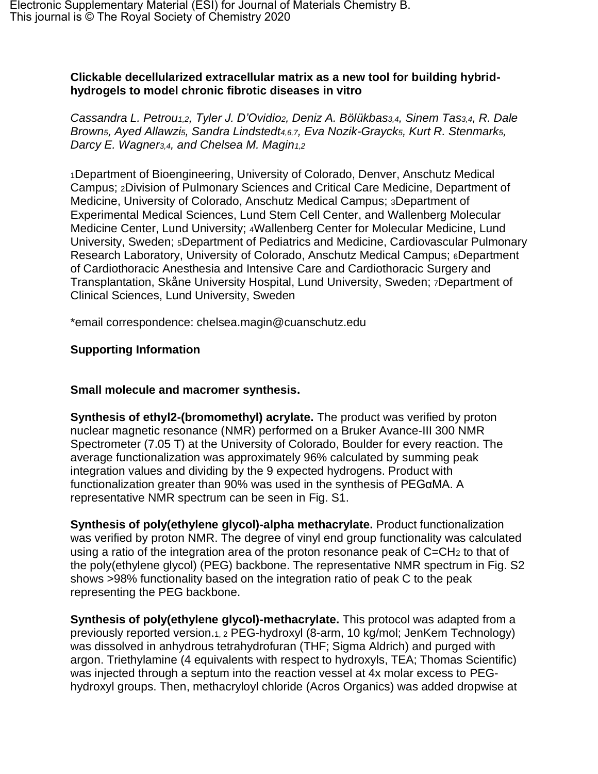## **Clickable decellularized extracellular matrix as a new tool for building hybridhydrogels to model chronic fibrotic diseases in vitro**

*Cassandra L. Petrou1,2, Tyler J. D'Ovidio2, Deniz A. Bölükbas3,4, Sinem Tas3,4, R. Dale Brown5, Ayed Allawzi5, Sandra Lindstedt4,6,7, Eva Nozik-Grayck5, Kurt R. Stenmark5, Darcy E. Wagner3,4, and Chelsea M. Magin1,2*

<sup>1</sup>Department of Bioengineering, University of Colorado, Denver, Anschutz Medical Campus; 2Division of Pulmonary Sciences and Critical Care Medicine, Department of Medicine, University of Colorado, Anschutz Medical Campus; 3Department of Experimental Medical Sciences, Lund Stem Cell Center, and Wallenberg Molecular Medicine Center, Lund University; 4Wallenberg Center for Molecular Medicine, Lund University, Sweden; <sup>5</sup>Department of Pediatrics and Medicine, Cardiovascular Pulmonary Research Laboratory, University of Colorado, Anschutz Medical Campus; 6Department of Cardiothoracic Anesthesia and Intensive Care and Cardiothoracic Surgery and Transplantation, Skåne University Hospital, Lund University, Sweden; <sup>7</sup>Department of Clinical Sciences, Lund University, Sweden

\*email correspondence: chelsea.magin@cuanschutz.edu

## **Supporting Information**

## **Small molecule and macromer synthesis.**

**Synthesis of ethyl2-(bromomethyl) acrylate.** The product was verified by proton nuclear magnetic resonance (NMR) performed on a Bruker Avance-III 300 NMR Spectrometer (7.05 T) at the University of Colorado, Boulder for every reaction. The average functionalization was approximately 96% calculated by summing peak integration values and dividing by the 9 expected hydrogens. Product with functionalization greater than 90% was used in the synthesis of PEGαMA. A representative NMR spectrum can be seen in Fig. S1.

**Synthesis of poly(ethylene glycol)-alpha methacrylate.** Product functionalization was verified by proton NMR. The degree of vinyl end group functionality was calculated using a ratio of the integration area of the proton resonance peak of C=CH<sup>2</sup> to that of the poly(ethylene glycol) (PEG) backbone. The representative NMR spectrum in Fig. S2 shows >98% functionality based on the integration ratio of peak C to the peak representing the PEG backbone.

**Synthesis of poly(ethylene glycol)-methacrylate.** This protocol was adapted from a previously reported version.1, 2 PEG-hydroxyl (8-arm, 10 kg/mol; JenKem Technology) was dissolved in anhydrous tetrahydrofuran (THF; Sigma Aldrich) and purged with argon. Triethylamine (4 equivalents with respect to hydroxyls, TEA; Thomas Scientific) was injected through a septum into the reaction vessel at 4x molar excess to PEGhydroxyl groups. Then, methacryloyl chloride (Acros Organics) was added dropwise at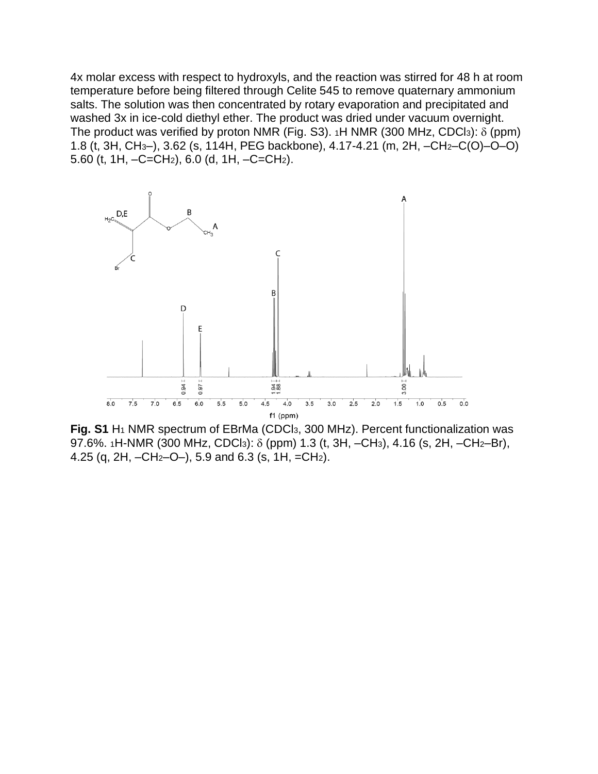4x molar excess with respect to hydroxyls, and the reaction was stirred for 48 h at room temperature before being filtered through Celite 545 to remove quaternary ammonium salts. The solution was then concentrated by rotary evaporation and precipitated and washed 3x in ice-cold diethyl ether. The product was dried under vacuum overnight. The product was verified by proton NMR (Fig. S3).  $1H$  NMR (300 MHz, CDCl3):  $\delta$  (ppm) 1.8 (t, 3H, CH3–), 3.62 (s, 114H, PEG backbone), 4.17-4.21 (m, 2H, –CH2–C(O)–O–O) 5.60 (t, 1H, –C=CH2), 6.0 (d, 1H, –C=CH2).



**Fig. S1** H<sup>1</sup> NMR spectrum of EBrMa (CDCl3, 300 MHz). Percent functionalization was 97.6%. 1H-NMR (300 MHz, CDCl<sub>3</sub>):  $\delta$  (ppm) 1.3 (t, 3H, –CH<sub>3</sub>), 4.16 (s, 2H, –CH<sub>2</sub>–Br), 4.25 (q, 2H,  $-CH_2-O-$ ), 5.9 and 6.3 (s, 1H,  $=CH_2$ ).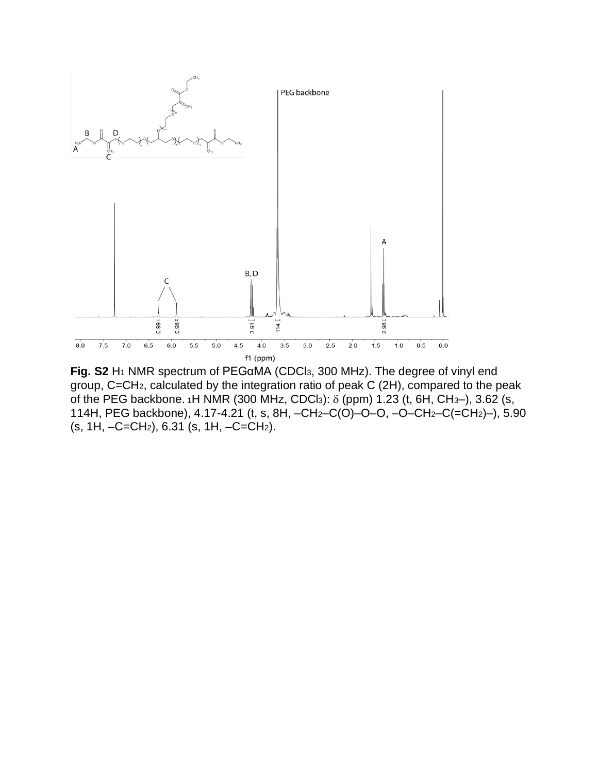

**Fig. S2** H<sup>1</sup> NMR spectrum of PEGαMA (CDCl3, 300 MHz). The degree of vinyl end group, C=CH2, calculated by the integration ratio of peak C (2H), compared to the peak of the PEG backbone. 1H NMR (300 MHz, CDCl3):  $\delta$  (ppm) 1.23 (t, 6H, CH3-), 3.62 (s, 114H, PEG backbone), 4.17-4.21 (t, s, 8H, –CH2–C(O)–O–O, –O–CH2–C(=CH2)–), 5.90 (s, 1H, –C=CH2), 6.31 (s, 1H, –C=CH2).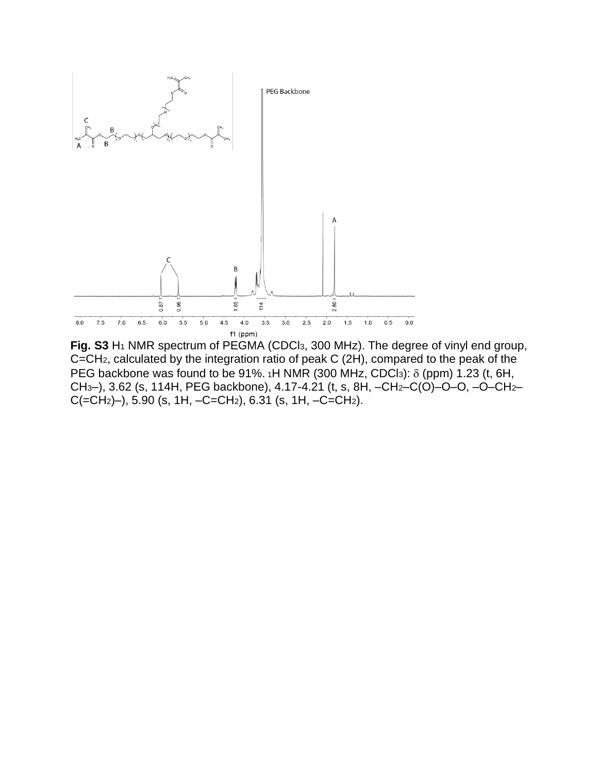

**Fig. S3** H<sup>1</sup> NMR spectrum of PEGMA (CDCl3, 300 MHz). The degree of vinyl end group, C=CH2, calculated by the integration ratio of peak C (2H), compared to the peak of the PEG backbone was found to be 91%.  $1H NMR$  (300 MHz, CDCl<sub>3</sub>):  $\delta$  (ppm) 1.23 (t, 6H, CH3–), 3.62 (s, 114H, PEG backbone), 4.17-4.21 (t, s, 8H, –CH2–C(O)–O–O, –O–CH2–  $C(=CH<sub>2</sub>)$ –), 5.90 (s, 1H,  $-C=CH<sub>2</sub>$ ), 6.31 (s, 1H,  $-C=CH<sub>2</sub>$ ).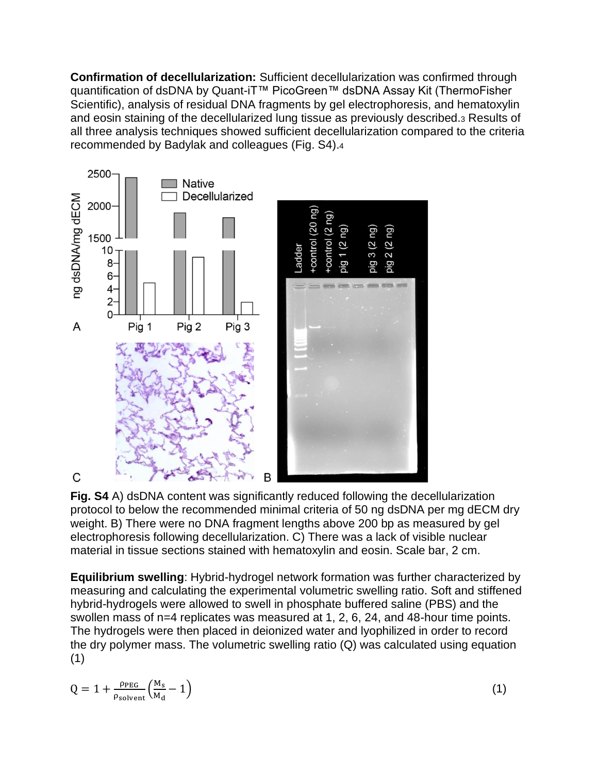**Confirmation of decellularization:** Sufficient decellularization was confirmed through quantification of dsDNA by Quant-iT™ PicoGreen™ dsDNA Assay Kit (ThermoFisher Scientific), analysis of residual DNA fragments by gel electrophoresis, and hematoxylin and eosin staining of the decellularized lung tissue as previously described.<sup>3</sup> Results of all three analysis techniques showed sufficient decellularization compared to the criteria recommended by Badylak and colleagues (Fig. S4).<sup>4</sup>



**Fig. S4** A) dsDNA content was significantly reduced following the decellularization protocol to below the recommended minimal criteria of 50 ng dsDNA per mg dECM dry weight. B) There were no DNA fragment lengths above 200 bp as measured by gel electrophoresis following decellularization. C) There was a lack of visible nuclear material in tissue sections stained with hematoxylin and eosin. Scale bar, 2 cm.

**Equilibrium swelling**: Hybrid-hydrogel network formation was further characterized by measuring and calculating the experimental volumetric swelling ratio. Soft and stiffened hybrid-hydrogels were allowed to swell in phosphate buffered saline (PBS) and the swollen mass of n=4 replicates was measured at 1, 2, 6, 24, and 48-hour time points. The hydrogels were then placed in deionized water and lyophilized in order to record the dry polymer mass. The volumetric swelling ratio (Q) was calculated using equation (1)

$$
Q = 1 + \frac{\rho_{\text{PEG}}}{\rho_{\text{solvent}}} \left( \frac{M_s}{M_d} - 1 \right) \tag{1}
$$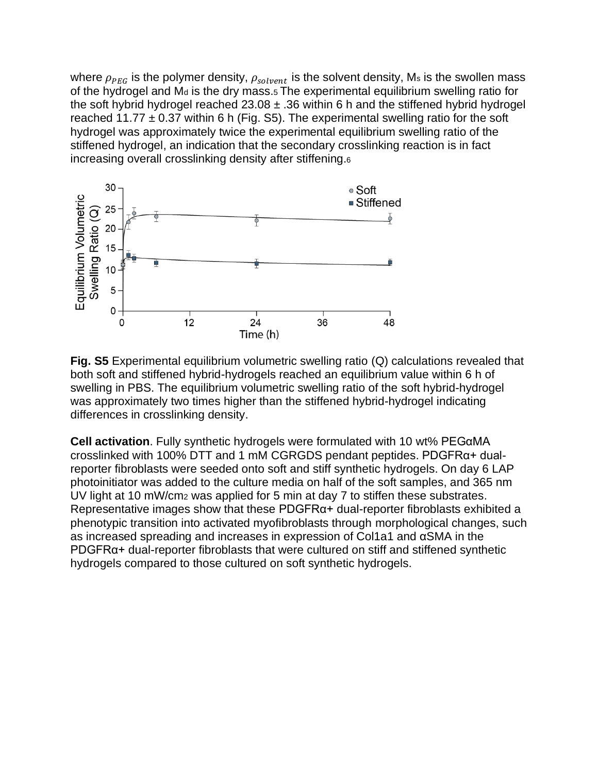where  $\rho_{PEG}$  is the polymer density,  $\rho_{solvent}$  is the solvent density, Ms is the swollen mass of the hydrogel and M<sub>d</sub> is the dry mass.<sub>5</sub> The experimental equilibrium swelling ratio for the soft hybrid hydrogel reached  $23.08 \pm .36$  within 6 h and the stiffened hybrid hydrogel reached 11.77  $\pm$  0.37 within 6 h (Fig. S5). The experimental swelling ratio for the soft hydrogel was approximately twice the experimental equilibrium swelling ratio of the stiffened hydrogel, an indication that the secondary crosslinking reaction is in fact increasing overall crosslinking density after stiffening.<sup>6</sup>



**Fig. S5** Experimental equilibrium volumetric swelling ratio (Q) calculations revealed that both soft and stiffened hybrid-hydrogels reached an equilibrium value within 6 h of swelling in PBS. The equilibrium volumetric swelling ratio of the soft hybrid-hydrogel was approximately two times higher than the stiffened hybrid-hydrogel indicating differences in crosslinking density.

**Cell activation**. Fully synthetic hydrogels were formulated with 10 wt% PEGαMA crosslinked with 100% DTT and 1 mM CGRGDS pendant peptides. PDGFRα+ dualreporter fibroblasts were seeded onto soft and stiff synthetic hydrogels. On day 6 LAP photoinitiator was added to the culture media on half of the soft samples, and 365 nm UV light at 10 mW/cm<sup>2</sup> was applied for 5 min at day 7 to stiffen these substrates. Representative images show that these PDGFRα+ dual-reporter fibroblasts exhibited a phenotypic transition into activated myofibroblasts through morphological changes, such as increased spreading and increases in expression of Col1a1 and αSMA in the PDGFRα+ dual-reporter fibroblasts that were cultured on stiff and stiffened synthetic hydrogels compared to those cultured on soft synthetic hydrogels.